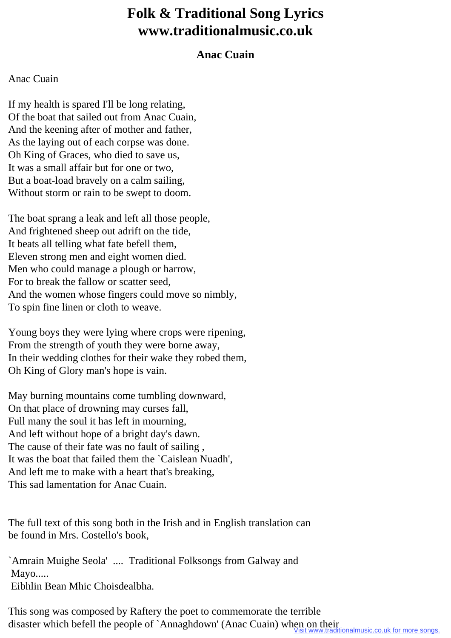## **Folk & Traditional Song Lyrics www.traditionalmusic.co.uk**

## **Anac Cuain**

## Anac Cuain

If my health is spared I'll be long relating, Of the boat that sailed out from Anac Cuain, And the keening after of mother and father, As the laying out of each corpse was done. Oh King of Graces, who died to save us, It was a small affair but for one or two, But a boat-load bravely on a calm sailing, Without storm or rain to be swept to doom.

The boat sprang a leak and left all those people, And frightened sheep out adrift on the tide, It beats all telling what fate befell them, Eleven strong men and eight women died. Men who could manage a plough or harrow, For to break the fallow or scatter seed, And the women whose fingers could move so nimbly, To spin fine linen or cloth to weave.

Young boys they were lying where crops were ripening, From the strength of youth they were borne away, In their wedding clothes for their wake they robed them, Oh King of Glory man's hope is vain.

May burning mountains come tumbling downward, On that place of drowning may curses fall, Full many the soul it has left in mourning, And left without hope of a bright day's dawn. The cause of their fate was no fault of sailing , It was the boat that failed them the `Caislean Nuadh', And left me to make with a heart that's breaking, This sad lamentation for Anac Cuain.

The full text of this song both in the Irish and in English translation can be found in Mrs. Costello's book,

`Amrain Muighe Seola' .... Traditional Folksongs from Galway and Mayo..... Eibhlin Bean Mhic Choisdealbha.

This song was composed by Raftery the poet to commemorate the terrible disaster which befell the people of `Annaghdown' (Anac Cuain) when on their<br>Visit www.traditionalmusic.co.uk for more songs.